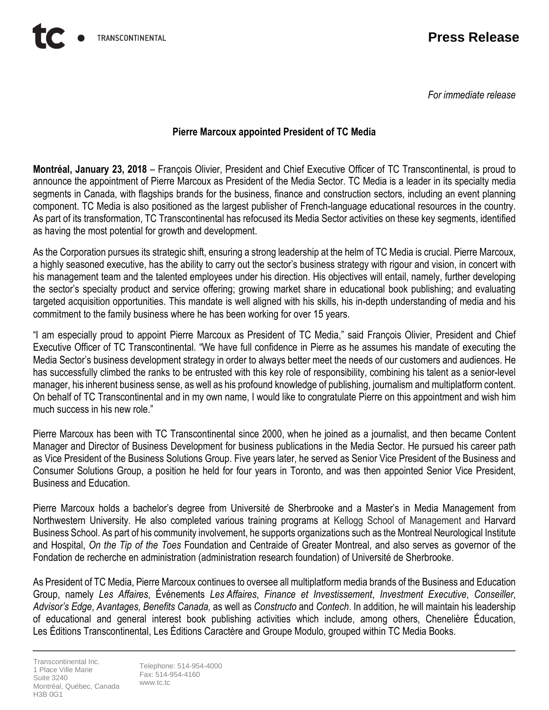*For immediate release*

## **Pierre Marcoux appointed President of TC Media**

**Montréal, January 23, 2018** – François Olivier, President and Chief Executive Officer of TC Transcontinental, is proud to announce the appointment of Pierre Marcoux as President of the Media Sector. TC Media is a leader in its specialty media segments in Canada, with flagships brands for the business, finance and construction sectors, including an event planning component. TC Media is also positioned as the largest publisher of French-language educational resources in the country. As part of its transformation, TC Transcontinental has refocused its Media Sector activities on these key segments, identified as having the most potential for growth and development.

As the Corporation pursues its strategic shift, ensuring a strong leadership at the helm of TC Media is crucial. Pierre Marcoux, a highly seasoned executive, has the ability to carry out the sector's business strategy with rigour and vision, in concert with his management team and the talented employees under his direction. His objectives will entail, namely, further developing the sector's specialty product and service offering; growing market share in educational book publishing; and evaluating targeted acquisition opportunities. This mandate is well aligned with his skills, his in-depth understanding of media and his commitment to the family business where he has been working for over 15 years.

"I am especially proud to appoint Pierre Marcoux as President of TC Media," said François Olivier, President and Chief Executive Officer of TC Transcontinental. "We have full confidence in Pierre as he assumes his mandate of executing the Media Sector's business development strategy in order to always better meet the needs of our customers and audiences. He has successfully climbed the ranks to be entrusted with this key role of responsibility, combining his talent as a senior-level manager, his inherent business sense, as well as his profound knowledge of publishing, journalism and multiplatform content. On behalf of TC Transcontinental and in my own name, I would like to congratulate Pierre on this appointment and wish him much success in his new role."

Pierre Marcoux has been with TC Transcontinental since 2000, when he joined as a journalist, and then became Content Manager and Director of Business Development for business publications in the Media Sector. He pursued his career path as Vice President of the Business Solutions Group. Five years later, he served as Senior Vice President of the Business and Consumer Solutions Group, a position he held for four years in Toronto, and was then appointed Senior Vice President, Business and Education.

Pierre Marcoux holds a bachelor's degree from Université de Sherbrooke and a Master's in Media Management from Northwestern University. He also completed various training programs at Kellogg School of Management and Harvard Business School. As part of his community involvement, he supports organizations such as the Montreal Neurological Institute and Hospital, *On the Tip of the Toes* Foundation and Centraide of Greater Montreal, and also serves as governor of the Fondation de recherche en administration (administration research foundation) of Université de Sherbrooke.

As President of TC Media, Pierre Marcoux continues to oversee all multiplatform media brands of the Business and Education Group, namely *Les Affaires*, Événements *Les Affaires*, *Finance et Investissement*, *Investment Executive*, *Conseiller*, *Advisor's Edge*, *Avantages, Benefits Canada,* as well as *Constructo* and *Contech*. In addition, he will maintain his leadership of educational and general interest book publishing activities which include, among others, Chenelière Éducation, Les Éditions Transcontinental, Les Éditions Caractère and Groupe Modulo, grouped within TC Media Books.

Transcontinental Inc. 1 Place Ville Marie Suite 3240 Montréal, Québec, Canada H3B 0G1

Telephone: 514-954-4000 Fax: 514-954-4160 www.tc.tc